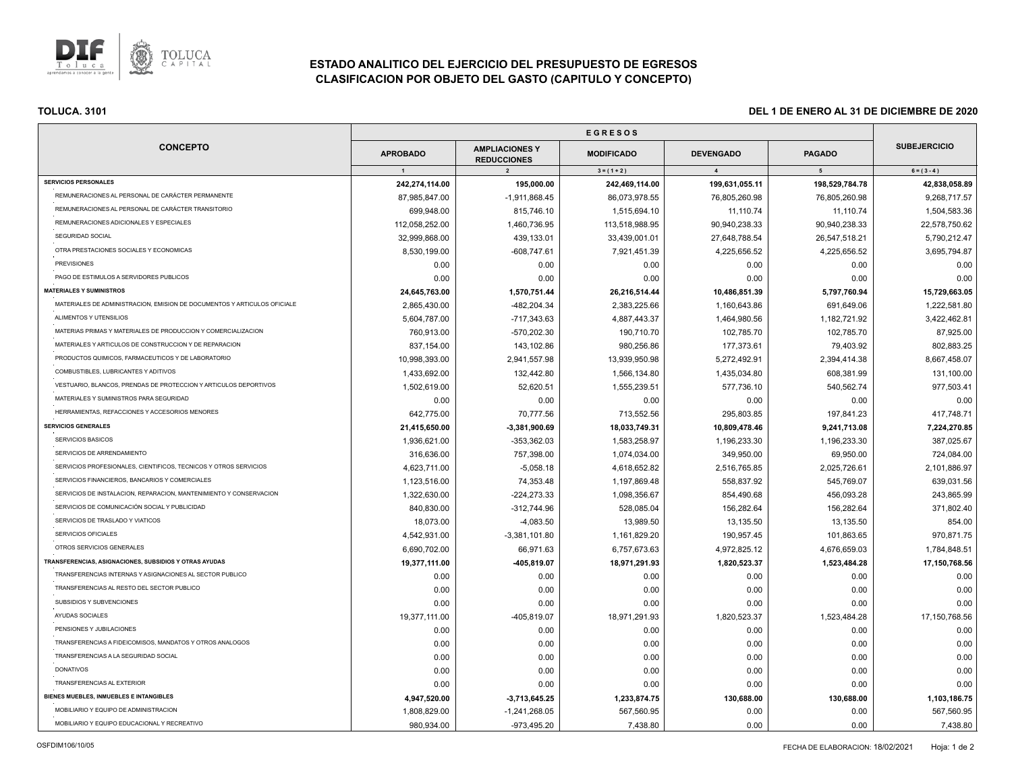

# **ESTADO ANALITICO DEL EJERCICIO DEL PRESUPUESTO DE EGRESOS CLASIFICACION POR OBJETO DEL GASTO (CAPITULO Y CONCEPTO)**

| <b>CONCEPTO</b>                                                          | <b>APROBADO</b> | <b>AMPLIACIONES Y</b><br><b>REDUCCIONES</b> | <b>MODIFICADO</b> | <b>DEVENGADO</b> | <b>PAGADO</b>  | <b>SUBEJERCICIO</b> |
|--------------------------------------------------------------------------|-----------------|---------------------------------------------|-------------------|------------------|----------------|---------------------|
|                                                                          | $\overline{1}$  | $\overline{2}$                              | $3 = (1 + 2)$     | $\overline{4}$   | 5 <sub>5</sub> | $6 = (3 - 4)$       |
| <b>SERVICIOS PERSONALES</b>                                              | 242,274,114.00  | 195,000.00                                  | 242,469,114.00    | 199,631,055.11   | 198,529,784.78 | 42,838,058.89       |
| REMUNERACIONES AL PERSONAL DE CARÁCTER PERMANENTE                        | 87,985,847.00   | $-1,911,868.45$                             | 86,073,978.55     | 76,805,260.98    | 76,805,260.98  | 9,268,717.57        |
| REMUNERACIONES AL PERSONAL DE CARÁCTER TRANSITORIO                       | 699,948.00      | 815,746.10                                  | 1,515,694.10      | 11,110.74        | 11,110.74      | 1,504,583.36        |
| REMUNERACIONES ADICIONALES Y ESPECIALES                                  | 112,058,252.00  | 1,460,736.95                                | 113,518,988.95    | 90,940,238.33    | 90,940,238.33  | 22,578,750.62       |
| SEGURIDAD SOCIAL                                                         | 32,999,868.00   | 439,133.01                                  | 33,439,001.01     | 27,648,788.54    | 26,547,518.21  | 5,790,212.47        |
| OTRA PRESTACIONES SOCIALES Y ECONOMICAS                                  | 8,530,199.00    | $-608,747.61$                               | 7,921,451.39      | 4,225,656.52     | 4,225,656.52   | 3,695,794.87        |
| <b>PREVISIONES</b>                                                       | 0.00            | 0.00                                        | 0.00              | 0.00             | 0.00           | 0.00                |
| PAGO DE ESTIMULOS A SERVIDORES PUBLICOS                                  | 0.00            | 0.00                                        | 0.00              | 0.00             | 0.00           | 0.00                |
| <b>MATERIALES Y SUMINISTROS</b>                                          | 24,645,763.00   | 1,570,751.44                                | 26,216,514.44     | 10,486,851.39    | 5,797,760.94   | 15,729,663.05       |
| MATERIALES DE ADMINISTRACION, EMISION DE DOCUMENTOS Y ARTICULOS OFICIALE | 2,865,430.00    | -482,204.34                                 | 2,383,225.66      | 1,160,643.86     | 691,649.06     | 1,222,581.80        |
| ALIMENTOS Y UTENSILIOS                                                   | 5,604,787.00    | -717,343.63                                 | 4,887,443.37      | 1,464,980.56     | 1,182,721.92   | 3,422,462.81        |
| MATERIAS PRIMAS Y MATERIALES DE PRODUCCION Y COMERCIALIZACION            | 760,913.00      | -570,202.30                                 | 190,710.70        | 102,785.70       | 102,785.70     | 87,925.00           |
| MATERIALES Y ARTICULOS DE CONSTRUCCION Y DE REPARACION                   | 837,154.00      | 143,102.86                                  | 980,256.86        | 177,373.61       | 79,403.92      | 802,883.25          |
| PRODUCTOS QUIMICOS, FARMACEUTICOS Y DE LABORATORIO                       | 10,998,393.00   | 2,941,557.98                                | 13,939,950.98     | 5,272,492.91     | 2,394,414.38   | 8,667,458.07        |
| COMBUSTIBLES, LUBRICANTES Y ADITIVOS                                     | 1,433,692.00    | 132,442.80                                  | 1,566,134.80      | 1,435,034.80     | 608,381.99     | 131,100.00          |
| VESTUARIO, BLANCOS, PRENDAS DE PROTECCION Y ARTICULOS DEPORTIVOS         | 1,502,619.00    | 52,620.51                                   | 1,555,239.51      | 577,736.10       | 540,562.74     | 977,503.41          |
| MATERIALES Y SUMINISTROS PARA SEGURIDAD                                  | 0.00            | 0.00                                        | 0.00              | 0.00             | 0.00           | 0.00                |
| HERRAMIENTAS, REFACCIONES Y ACCESORIOS MENORES                           | 642,775.00      | 70,777.56                                   | 713,552.56        | 295,803.85       | 197,841.23     | 417,748.71          |
| <b>SERVICIOS GENERALES</b>                                               | 21,415,650.00   | $-3,381,900.69$                             | 18,033,749.31     | 10,809,478.46    | 9,241,713.08   | 7,224,270.85        |
| SERVICIOS BASICOS                                                        | 1,936,621.00    | $-353,362.03$                               | 1,583,258.97      | 1,196,233.30     | 1,196,233.30   | 387,025.67          |
| SERVICIOS DE ARRENDAMIENTO                                               | 316,636.00      | 757,398.00                                  | 1,074,034.00      | 349,950.00       | 69,950.00      | 724,084.00          |
| SERVICIOS PROFESIONALES, CIENTIFICOS, TECNICOS Y OTROS SERVICIOS         | 4,623,711.00    | $-5,058.18$                                 | 4,618,652.82      | 2,516,765.85     | 2,025,726.61   | 2,101,886.97        |
| SERVICIOS FINANCIEROS, BANCARIOS Y COMERCIALES                           | 1,123,516.00    | 74,353.48                                   | 1,197,869.48      | 558,837.92       | 545,769.07     | 639,031.56          |
| SERVICIOS DE INSTALACION, REPARACION, MANTENIMIENTO Y CONSERVACION       | 1,322,630.00    | $-224, 273.33$                              | 1,098,356.67      | 854,490.68       | 456,093.28     | 243,865.99          |
| SERVICIOS DE COMUNICACIÓN SOCIAL Y PUBLICIDAD                            | 840,830.00      | $-312,744.96$                               | 528,085.04        | 156,282.64       | 156,282.64     | 371,802.40          |
| SERVICIOS DE TRASLADO Y VIATICOS                                         | 18,073.00       | $-4,083.50$                                 | 13,989.50         | 13,135.50        | 13,135.50      | 854.00              |
| SERVICIOS OFICIALES                                                      | 4,542,931.00    | $-3,381,101.80$                             | 1,161,829.20      | 190,957.45       | 101,863.65     | 970,871.75          |
| OTROS SERVICIOS GENERALES                                                | 6,690,702.00    | 66,971.63                                   | 6,757,673.63      | 4,972,825.12     | 4,676,659.03   | 1,784,848.51        |
| TRANSFERENCIAS, ASIGNACIONES, SUBSIDIOS Y OTRAS AYUDAS                   | 19,377,111.00   | -405,819.07                                 | 18,971,291.93     | 1,820,523.37     | 1,523,484.28   | 17,150,768.56       |
| TRANSFERENCIAS INTERNAS Y ASIGNACIONES AL SECTOR PUBLICO                 | 0.00            | 0.00                                        | 0.00              | 0.00             | 0.00           | 0.00                |
| TRANSFERENCIAS AL RESTO DEL SECTOR PUBLICO                               | 0.00            | 0.00                                        | 0.00              | 0.00             | 0.00           | 0.00                |
| SUBSIDIOS Y SUBVENCIONES                                                 | 0.00            | 0.00                                        | 0.00              | 0.00             | 0.00           | 0.00                |
| AYUDAS SOCIALES                                                          | 19,377,111.00   | -405,819.07                                 | 18,971,291.93     | 1,820,523.37     | 1,523,484.28   | 17,150,768.56       |
| PENSIONES Y JUBILACIONES                                                 | 0.00            | 0.00                                        | 0.00              | 0.00             | 0.00           | 0.00                |
| TRANSFERENCIAS A FIDEICOMISOS, MANDATOS Y OTROS ANALOGOS                 | 0.00            | 0.00                                        | 0.00              | 0.00             | 0.00           | 0.00                |
| TRANSFERENCIAS A LA SEGURIDAD SOCIAL                                     | 0.00            | 0.00                                        | 0.00              | 0.00             | 0.00           | 0.00                |
| <b>DONATIVOS</b>                                                         | 0.00            | 0.00                                        | 0.00              | 0.00             | 0.00           | 0.00                |
| <b>TRANSFERENCIAS AL EXTERIOR</b>                                        | 0.00            | 0.00                                        | 0.00              | 0.00             | 0.00           | 0.00                |
| BIENES MUEBLES, INMUEBLES E INTANGIBLES                                  | 4,947,520.00    | $-3,713,645.25$                             | 1,233,874.75      | 130,688.00       | 130,688.00     | 1,103,186.75        |
| MOBILIARIO Y EQUIPO DE ADMINISTRACION                                    | 1,808,829.00    | $-1,241,268.05$                             | 567,560.95        | 0.00             | 0.00           | 567,560.95          |
| MOBILIARIO Y EQUIPO EDUCACIONAL Y RECREATIVO                             | 980,934.00      | -973,495.20                                 | 7,438.80          | 0.00             | 0.00           | 7,438.80            |